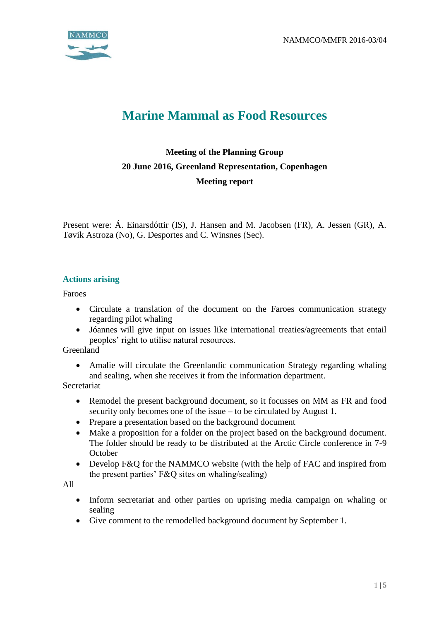

# **Marine Mammal as Food Resources**

# **Meeting of the Planning Group 20 June 2016, Greenland Representation, Copenhagen Meeting report**

Present were: Á. Einarsdóttir (IS), J. Hansen and M. Jacobsen (FR), A. Jessen (GR), A. Tøvik Astroza (No), G. Desportes and C. Winsnes (Sec).

#### **Actions arising**

Faroes

- Circulate a translation of the document on the Faroes communication strategy regarding pilot whaling
- Jóannes will give input on issues like international treaties/agreements that entail peoples' right to utilise natural resources.

Greenland

 Amalie will circulate the Greenlandic communication Strategy regarding whaling and sealing, when she receives it from the information department.

Secretariat

- Remodel the present background document, so it focusses on MM as FR and food security only becomes one of the issue – to be circulated by August 1.
- Prepare a presentation based on the background document
- Make a proposition for a folder on the project based on the background document. The folder should be ready to be distributed at the Arctic Circle conference in 7-9 **October**
- Develop F&Q for the NAMMCO website (with the help of FAC and inspired from the present parties' F&Q sites on whaling/sealing)

All

- Inform secretariat and other parties on uprising media campaign on whaling or sealing
- Give comment to the remodelled background document by September 1.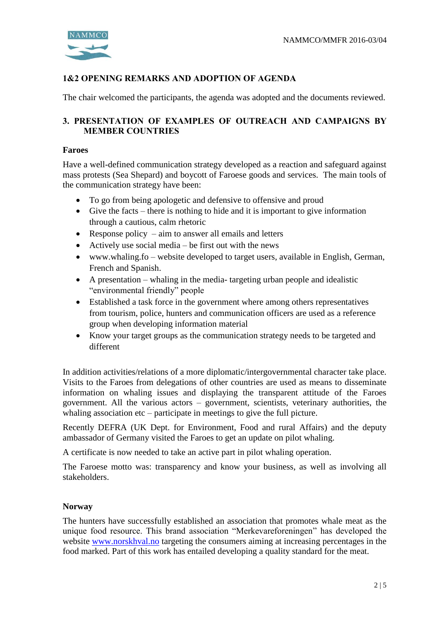

# 1&2 OPENING REMARKS AND ADOPTION OF AGENDA

The chair welcomed the participants, the agenda was adopted and the documents reviewed.

#### 3. PRESENTATION OF EXAMPLES OF OUTREACH AND CAMPAIGNS BY MEMBER COUNTRIES

#### **Faroes**

Have a well-defined communication strategy developed as a reaction and safeguard against mass protests (Sea Shepard) and boycott of Faroese goods and services. The main tools of the communication strategy have been:

- To go from being apologetic and defensive to offensive and proud
- Give the facts there is nothing to hide and it is important to give information through a cautious, calm rhetoric
- Response policy  $-$  aim to answer all emails and letters
- Actively use social media be first out with the news
- www.whaling.fo website developed to target users, available in English, German, French and Spanish.
- A presentation whaling in the media- targeting urban people and idealistic "environmental friendly" people
- Established a task force in the government where among others representatives from tourism, police, hunters and communication officers are used as a reference group when developing information material
- Know your target groups as the communication strategy needs to be targeted and different

In addition activities/relations of a more diplomatic/intergovernmental character take place. Visits to the Faroes from delegations of other countries are used as means to disseminate information on whaling issues and displaying the transparent attitude of the Faroes government. All the various actors – government, scientists, veterinary authorities, the whaling association etc – participate in meetings to give the full picture.

Recently DEFRA (UK Dept. for Environment, Food and rural Affairs) and the deputy ambassador of Germany visited the Faroes to get an update on pilot whaling.

A certificate is now needed to take an active part in pilot whaling operation.

The Faroese motto was: transparency and know your business, as well as involving all stakeholders.

#### **Norway**

The hunters have successfully established an association that promotes whale meat as the unique food resource. This brand association "Merkevareforeningen" has developed the website [www.norskhval.no](http://www.norskhval.no/) targeting the consumers aiming at increasing percentages in the food marked. Part of this work has entailed developing a quality standard for the meat.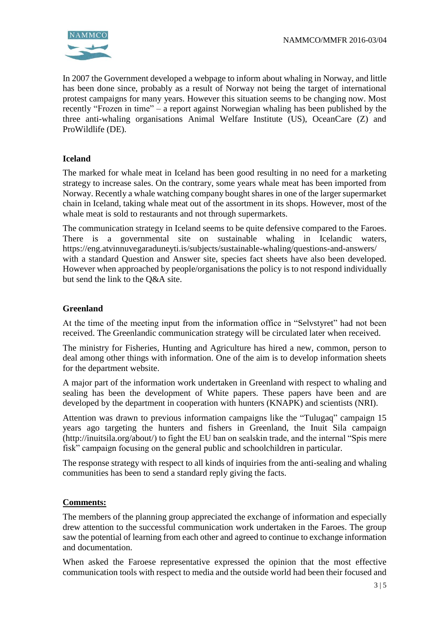

In 2007 the Government developed a webpage to inform about whaling in Norway, and little has been done since, probably as a result of Norway not being the target of international protest campaigns for many years. However this situation seems to be changing now. Most recently "Frozen in time" – a report against Norwegian whaling has been published by the three anti-whaling organisations Animal Welfare Institute (US), OceanCare (Z) and ProWildlife (DE).

#### **Iceland**

The marked for whale meat in Iceland has been good resulting in no need for a marketing strategy to increase sales. On the contrary, some years whale meat has been imported from Norway. Recently a whale watching company bought shares in one of the larger supermarket chain in Iceland, taking whale meat out of the assortment in its shops. However, most of the whale meat is sold to restaurants and not through supermarkets.

The communication strategy in Iceland seems to be quite defensive compared to the Faroes. There is a governmental site on sustainable whaling in Icelandic waters, https://eng.atvinnuvegaraduneyti.is/subjects/sustainable-whaling/questions-and-answers/ with a standard Question and Answer site, species fact sheets have also been developed. However when approached by people/organisations the policy is to not respond individually but send the link to the Q&A site.

#### **Greenland**

At the time of the meeting input from the information office in "Selvstyret" had not been received. The Greenlandic communication strategy will be circulated later when received.

The ministry for Fisheries, Hunting and Agriculture has hired a new, common, person to deal among other things with information. One of the aim is to develop information sheets for the department website.

A major part of the information work undertaken in Greenland with respect to whaling and sealing has been the development of White papers. These papers have been and are developed by the department in cooperation with hunters (KNAPK) and scientists (NRI).

Attention was drawn to previous information campaigns like the "Tulugaq" campaign 15 years ago targeting the hunters and fishers in Greenland, the Inuit Sila campaign (http://inuitsila.org/about/) to fight the EU ban on sealskin trade, and the internal "Spis mere fisk" campaign focusing on the general public and schoolchildren in particular.

The response strategy with respect to all kinds of inquiries from the anti-sealing and whaling communities has been to send a standard reply giving the facts.

#### **Comments:**

The members of the planning group appreciated the exchange of information and especially drew attention to the successful communication work undertaken in the Faroes. The group saw the potential of learning from each other and agreed to continue to exchange information and documentation.

When asked the Faroese representative expressed the opinion that the most effective communication tools with respect to media and the outside world had been their focused and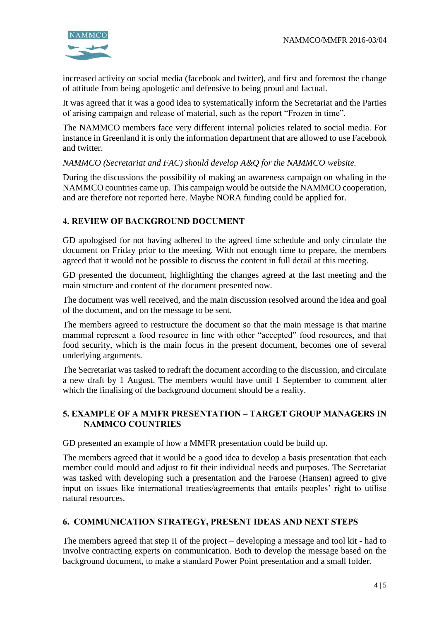

increased activity on social media (facebook and twitter), and first and foremost the change of attitude from being apologetic and defensive to being proud and factual.

It was agreed that it was a good idea to systematically inform the Secretariat and the Parties of arising campaign and release of material, such as the report "Frozen in time".

The NAMMCO members face very different internal policies related to social media. For instance in Greenland it is only the information department that are allowed to use Facebook and twitter.

*NAMMCO (Secretariat and FAC) should develop A&Q for the NAMMCO website.*

During the discussions the possibility of making an awareness campaign on whaling in the NAMMCO countries came up. This campaign would be outside the NAMMCO cooperation, and are therefore not reported here. Maybe NORA funding could be applied for.

# 4. REVIEW OF BACKGROUND DOCUMENT

GD apologised for not having adhered to the agreed time schedule and only circulate the document on Friday prior to the meeting. With not enough time to prepare, the members agreed that it would not be possible to discuss the content in full detail at this meeting.

GD presented the document, highlighting the changes agreed at the last meeting and the main structure and content of the document presented now.

The document was well received, and the main discussion resolved around the idea and goal of the document, and on the message to be sent.

The members agreed to restructure the document so that the main message is that marine mammal represent a food resource in line with other "accepted" food resources, and that food security, which is the main focus in the present document, becomes one of several underlying arguments.

The Secretariat was tasked to redraft the document according to the discussion, and circulate a new draft by 1 August. The members would have until 1 September to comment after which the finalising of the background document should be a reality.

#### 5. EXAMPLE OF A MMFR PRESENTATION – TARGET GROUP MANAGERS IN NAMMCO COUNTRIES

GD presented an example of how a MMFR presentation could be build up.

The members agreed that it would be a good idea to develop a basis presentation that each member could mould and adjust to fit their individual needs and purposes. The Secretariat was tasked with developing such a presentation and the Faroese (Hansen) agreed to give input on issues like international treaties/agreements that entails peoples' right to utilise natural resources.

#### 6. COMMUNICATION STRATEGY, PRESENT IDEAS AND NEXT STEPS

The members agreed that step II of the project – developing a message and tool kit - had to involve contracting experts on communication. Both to develop the message based on the background document, to make a standard Power Point presentation and a small folder.